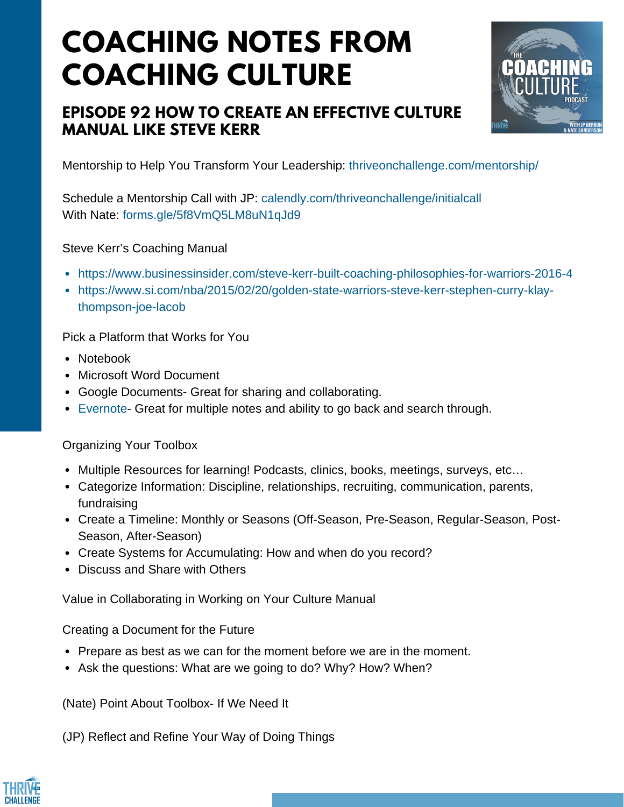## **COACHING NOTES FROM COACHING CULTURE**

## **EPISODE 92 HOW TO CREATE AN EFFECTIVE CULTURE MANUAL LIKE STEVE KERR**



Mentorship to Help You Transform Your Leadership: <thriveonchallenge.com/mentorship/>

Schedule a Mentorship Call with JP: <calendly.com/thriveonchallenge/initialcall> With Nate: <forms.gle/5f8VmQ5LM8uN1qJd9>

Steve Kerr's Coaching Manual

- <https://www.businessinsider.com/steve-kerr-built-coaching-philosophies-for-warriors-2016-4>
- [https://www.si.com/nba/2015/02/20/golden-state-warriors-steve-kerr-stephen-curry-klay](https://www.si.com/nba/2015/02/20/golden-state-warriors-steve-kerr-stephen-curry-klay-thompson-joe-lacob)thompson-joe-lacob

Pick a Platform that Works for You

- Notebook
- Microsoft Word Document
- Google Documents- Great for sharing and collaborating.
- [Evernote-](https://evernote.com/) Great for multiple notes and ability to go back and search through.

Organizing Your Toolbox

- Multiple Resources for learning! Podcasts, clinics, books, meetings, surveys, etc...
- Categorize Information: Discipline, relationships, recruiting, communication, parents, fundraising
- Create a Timeline: Monthly or Seasons (Off-Season, Pre-Season, Regular-Season, Post-Season, After-Season)
- Create Systems for Accumulating: How and when do you record?
- Discuss and Share with Others

Value in Collaborating in Working on Your Culture Manual

Creating a Document for the Future

- Prepare as best as we can for the moment before we are in the moment.
- Ask the questions: What are we going to do? Why? How? When?

(Nate) Point About Toolbox- If We Need It

(JP) Reflect and Refine Your Way of Doing Things